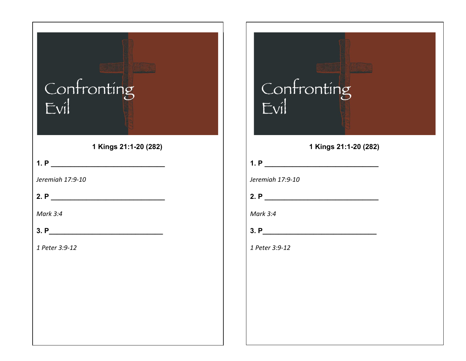| Confronting<br>Evil   |
|-----------------------|
| 1 Kings 21:1-20 (282) |
|                       |
| Jeremiah 17:9-10      |
| 2. P                  |
| Mark 3:4              |
| 3. P                  |
| 1 Peter 3:9-12        |
|                       |
|                       |
|                       |
|                       |
|                       |
|                       |

## Confronting<br>Evil **1 Kings 21:1-20 (282) 1. P \_\_\_\_\_\_\_\_\_\_\_\_\_\_\_\_\_\_\_\_\_\_\_\_\_\_\_\_\_** *Jeremiah 17:9-10* **2. P \_\_\_\_\_\_\_\_\_\_\_\_\_\_\_\_\_\_\_\_\_\_\_\_\_\_\_\_\_** *Mark 3:4*

**3. P\_\_\_\_\_\_\_\_\_\_\_\_\_\_\_\_\_\_\_\_\_\_\_\_\_\_\_\_\_**

*1 Peter 3:9-12*